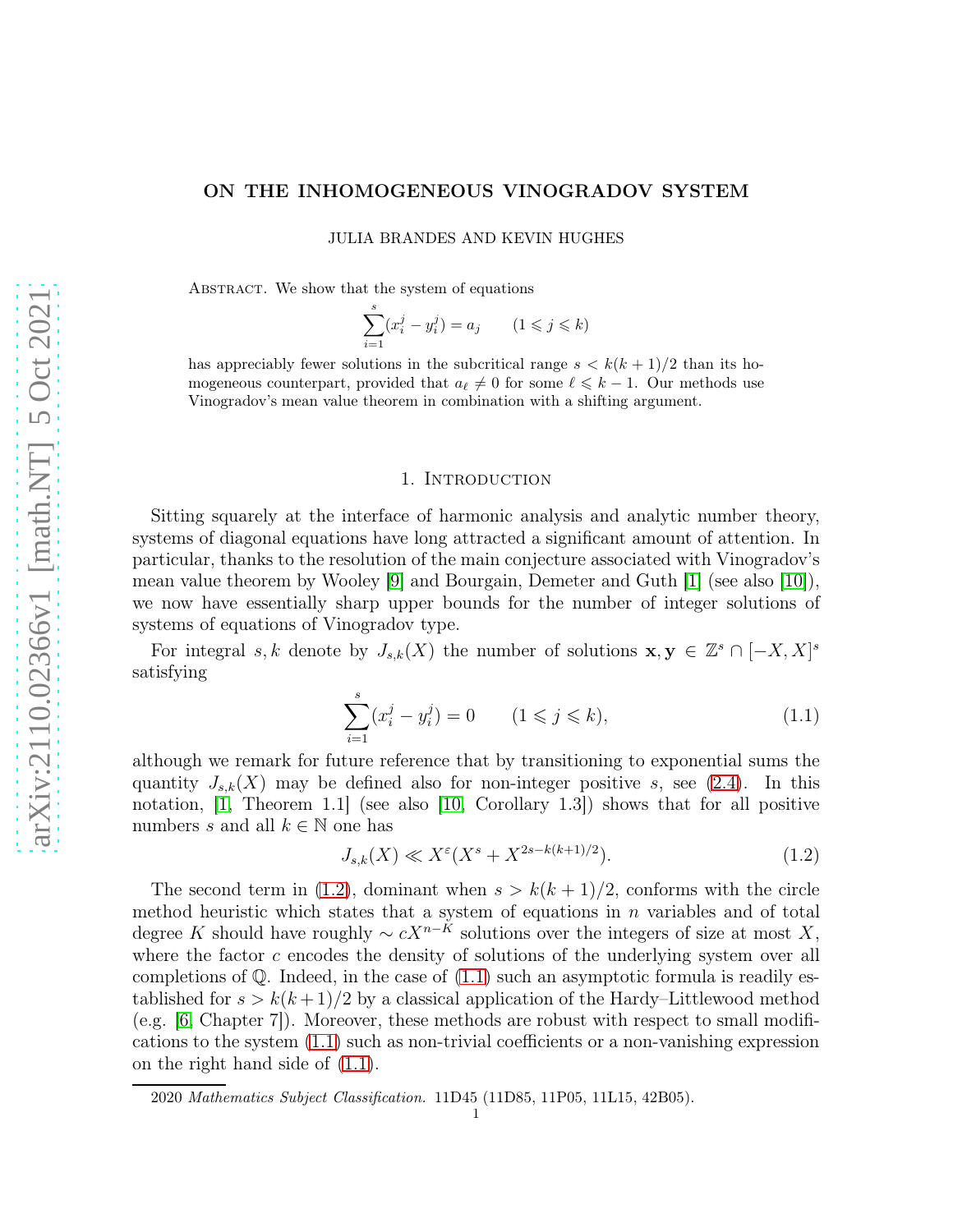# ON THE INHOMOGENEOUS VINOGRADOV SYSTEM

JULIA BRANDES AND KEVIN HUGHES

ABSTRACT. We show that the system of equations

$$
\sum_{i=1}^{s} (x_i^j - y_i^j) = a_j \qquad (1 \leq j \leq k)
$$

has appreciably fewer solutions in the subcritical range  $s < k(k+1)/2$  than its homogeneous counterpart, provided that  $a_{\ell} \neq 0$  for some  $\ell \leq k - 1$ . Our methods use Vinogradov's mean value theorem in combination with a shifting argument.

#### 1. Introduction

Sitting squarely at the interface of harmonic analysis and analytic number theory, systems of diagonal equations have long attracted a significant amount of attention. In particular, thanks to the resolution of the main conjecture associated with Vinogradov's mean value theorem by Wooley [\[9\]](#page-6-0) and Bourgain, Demeter and Guth [\[1\]](#page-6-1) (see also [\[10\]](#page-6-2)), we now have essentially sharp upper bounds for the number of integer solutions of systems of equations of Vinogradov type.

For integral s, k denote by  $J_{s,k}(X)$  the number of solutions  $\mathbf{x}, \mathbf{y} \in \mathbb{Z}^s \cap [-X, X]^s$ satisfying

<span id="page-0-1"></span>
$$
\sum_{i=1}^{s} (x_i^j - y_i^j) = 0 \qquad (1 \leq j \leq k), \tag{1.1}
$$

although we remark for future reference that by transitioning to exponential sums the quantity  $J_{s,k}(X)$  may be defined also for non-integer positive s, see [\(2.4\)](#page-3-0). In this notation, [\[1,](#page-6-1) Theorem 1.1] (see also [\[10,](#page-6-2) Corollary 1.3]) shows that for all positive numbers s and all  $k \in \mathbb{N}$  one has

<span id="page-0-0"></span>
$$
J_{s,k}(X) \ll X^{\varepsilon}(X^s + X^{2s - k(k+1)/2}).
$$
\n(1.2)

The second term in [\(1.2\)](#page-0-0), dominant when  $s > k(k+1)/2$ , conforms with the circle method heuristic which states that a system of equations in  $n$  variables and of total degree K should have roughly  $\sim cX^{n-K}$  solutions over the integers of size at most X, where the factor  $c$  encodes the density of solutions of the underlying system over all completions of  $\mathbb Q$ . Indeed, in the case of  $(1.1)$  such an asymptotic formula is readily established for  $s > k(k+1)/2$  by a classical application of the Hardy–Littlewood method (e.g.  $(6, \text{Chapter 7})$ ). Moreover, these methods are robust with respect to small modifications to the system [\(1.1\)](#page-0-1) such as non-trivial coefficients or a non-vanishing expression on the right hand side of [\(1.1\)](#page-0-1).

<sup>2020</sup> Mathematics Subject Classification. 11D45 (11D85, 11P05, 11L15, 42B05).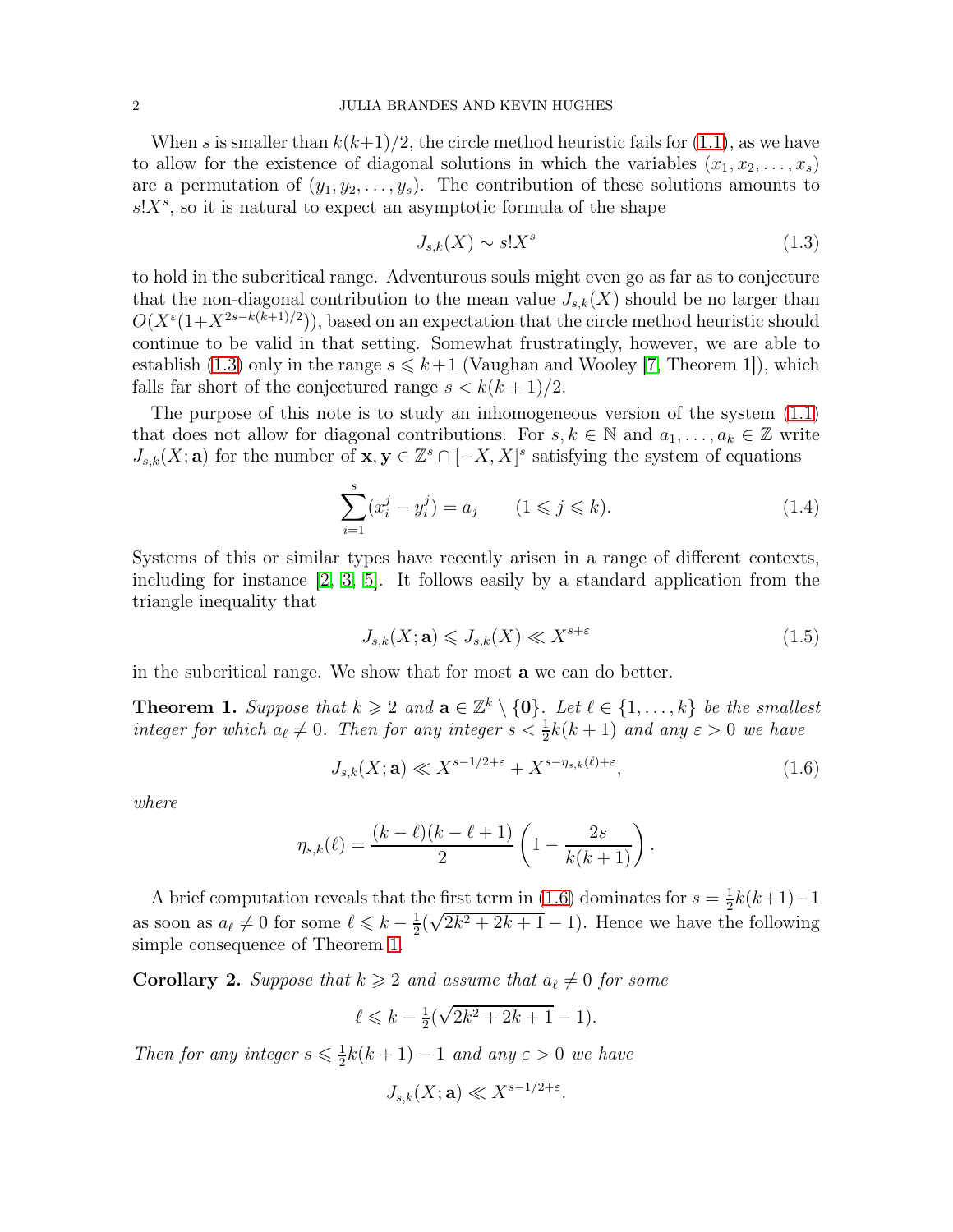When s is smaller than  $k(k+1)/2$ , the circle method heuristic fails for [\(1.1\)](#page-0-1), as we have to allow for the existence of diagonal solutions in which the variables  $(x_1, x_2, \ldots, x_s)$ are a permutation of  $(y_1, y_2, \ldots, y_s)$ . The contribution of these solutions amounts to  $s!X^s$ , so it is natural to expect an asymptotic formula of the shape

<span id="page-1-0"></span>
$$
J_{s,k}(X) \sim s!X^s \tag{1.3}
$$

to hold in the subcritical range. Adventurous souls might even go as far as to conjecture that the non-diagonal contribution to the mean value  $J_{s,k}(X)$  should be no larger than  $O(X^{\varepsilon}(1+X^{2s-k(k+1)/2}))$ , based on an expectation that the circle method heuristic should continue to be valid in that setting. Somewhat frustratingly, however, we are able to establish [\(1.3\)](#page-1-0) only in the range  $s \leq k+1$  (Vaughan and Wooley [\[7,](#page-6-4) Theorem 1]), which falls far short of the conjectured range  $s < k(k+1)/2$ .

The purpose of this note is to study an inhomogeneous version of the system [\(1.1\)](#page-0-1) that does not allow for diagonal contributions. For  $s, k \in \mathbb{N}$  and  $a_1, \ldots, a_k \in \mathbb{Z}$  write  $J_{s,k}(X;\mathbf{a})$  for the number of  $\mathbf{x}, \mathbf{y} \in \mathbb{Z}^s \cap [-X,X]^s$  satisfying the system of equations

$$
\sum_{i=1}^{s} (x_i^j - y_i^j) = a_j \qquad (1 \leq j \leq k). \tag{1.4}
$$

Systems of this or similar types have recently arisen in a range of different contexts, including for instance [\[2,](#page-6-5) [3,](#page-6-6) [5\]](#page-6-7). It follows easily by a standard application from the triangle inequality that

<span id="page-1-4"></span><span id="page-1-3"></span><span id="page-1-1"></span>
$$
J_{s,k}(X; \mathbf{a}) \leqslant J_{s,k}(X) \ll X^{s+\varepsilon} \tag{1.5}
$$

in the subcritical range. We show that for most a we can do better.

<span id="page-1-2"></span>**Theorem 1.** Suppose that  $k \geq 2$  and  $\mathbf{a} \in \mathbb{Z}^k \setminus \{\mathbf{0}\}\)$ . Let  $\ell \in \{1, \ldots, k\}$  be the smallest integer for which  $a_{\ell} \neq 0$ . Then for any integer  $s < \frac{1}{2}k(k+1)$  and any  $\varepsilon > 0$  we have

$$
J_{s,k}(X; \mathbf{a}) \ll X^{s-1/2+\varepsilon} + X^{s-\eta_{s,k}(\ell)+\varepsilon}, \tag{1.6}
$$

where

$$
\eta_{s,k}(\ell) = \frac{(k-\ell)(k-\ell+1)}{2} \left(1 - \frac{2s}{k(k+1)}\right).
$$

A brief computation reveals that the first term in [\(1.6\)](#page-1-1) dominates for  $s=\frac{1}{2}$  $\frac{1}{2}k(k+1)-1$ as soon as  $a_{\ell} \neq 0$  for some  $\ell \leq k - \frac{1}{2}$  $\frac{1}{2}(\sqrt{2k^2+2k+1}-1)$ . Hence we have the following simple consequence of Theorem [1.](#page-1-2)

**Corollary 2.** Suppose that  $k \geq 2$  and assume that  $a_{\ell} \neq 0$  for some

$$
\ell \leq k - \frac{1}{2}(\sqrt{2k^2 + 2k + 1} - 1).
$$

Then for any integer  $s \leq \frac{1}{2}$  $\frac{1}{2}k(k+1)-1$  and any  $\varepsilon > 0$  we have

$$
J_{s,k}(X;\mathbf{a}) \ll X^{s-1/2+\varepsilon}.
$$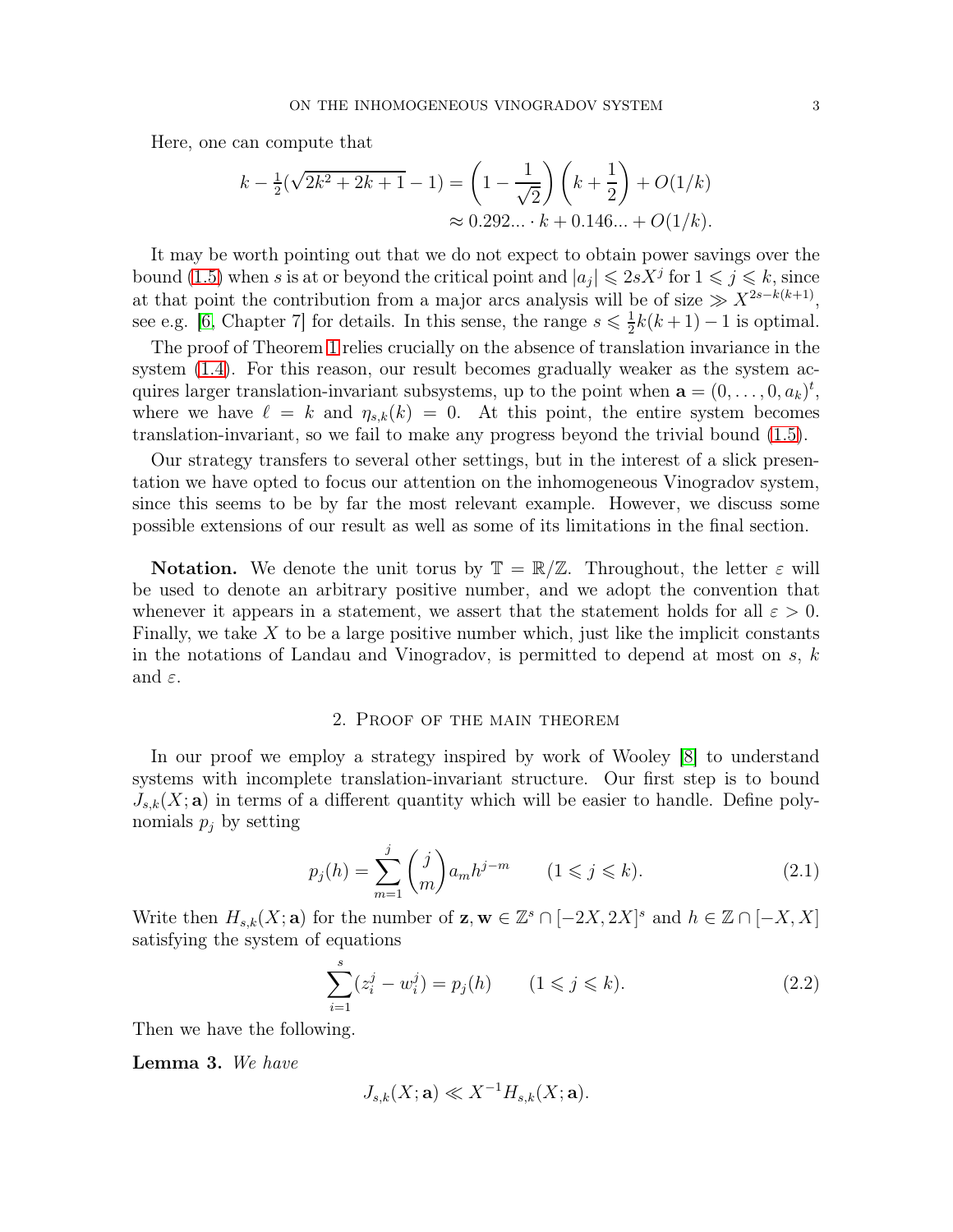Here, one can compute that

$$
k - \frac{1}{2}(\sqrt{2k^2 + 2k + 1} - 1) = \left(1 - \frac{1}{\sqrt{2}}\right)\left(k + \frac{1}{2}\right) + O(1/k)
$$
  

$$
\approx 0.292... \cdot k + 0.146... + O(1/k).
$$

It may be worth pointing out that we do not expect to obtain power savings over the bound [\(1.5\)](#page-1-3) when s is at or beyond the critical point and  $|a_j| \leq 2sX^j$  for  $1 \leq j \leq k$ , since at that point the contribution from a major arcs analysis will be of size  $\gg X^{2s-k(k+1)}$ , see e.g. [\[6,](#page-6-3) Chapter 7] for details. In this sense, the range  $s \leq \frac{1}{2}$  $\frac{1}{2}k(k+1)-1$  is optimal.

The proof of Theorem [1](#page-1-2) relies crucially on the absence of translation invariance in the system [\(1.4\)](#page-1-4). For this reason, our result becomes gradually weaker as the system acquires larger translation-invariant subsystems, up to the point when  $\mathbf{a} = (0, \ldots, 0, a_k)^t$ , where we have  $\ell = k$  and  $\eta_{s,k}(k) = 0$ . At this point, the entire system becomes translation-invariant, so we fail to make any progress beyond the trivial bound [\(1.5\)](#page-1-3).

Our strategy transfers to several other settings, but in the interest of a slick presentation we have opted to focus our attention on the inhomogeneous Vinogradov system, since this seems to be by far the most relevant example. However, we discuss some possible extensions of our result as well as some of its limitations in the final section.

**Notation.** We denote the unit torus by  $\mathbb{T} = \mathbb{R}/\mathbb{Z}$ . Throughout, the letter  $\varepsilon$  will be used to denote an arbitrary positive number, and we adopt the convention that whenever it appears in a statement, we assert that the statement holds for all  $\varepsilon > 0$ . Finally, we take  $X$  to be a large positive number which, just like the implicit constants in the notations of Landau and Vinogradov, is permitted to depend at most on  $s, k$ and  $\varepsilon$ .

# 2. Proof of the main theorem

In our proof we employ a strategy inspired by work of Wooley [\[8\]](#page-6-8) to understand systems with incomplete translation-invariant structure. Our first step is to bound  $J_{s,k}(X;\mathbf{a})$  in terms of a different quantity which will be easier to handle. Define polynomials  $p_j$  by setting

$$
p_j(h) = \sum_{m=1}^j \binom{j}{m} a_m h^{j-m} \qquad (1 \le j \le k). \tag{2.1}
$$

Write then  $H_{s,k}(X; \mathbf{a})$  for the number of  $\mathbf{z}, \mathbf{w} \in \mathbb{Z}^s \cap [-2X, 2X]^s$  and  $h \in \mathbb{Z} \cap [-X, X]$ satisfying the system of equations

<span id="page-2-1"></span>
$$
\sum_{i=1}^{s} (z_i^j - w_i^j) = p_j(h) \qquad (1 \le j \le k). \tag{2.2}
$$

Then we have the following.

<span id="page-2-2"></span>Lemma 3. We have

<span id="page-2-0"></span>
$$
J_{s,k}(X;\mathbf{a}) \ll X^{-1}H_{s,k}(X;\mathbf{a}).
$$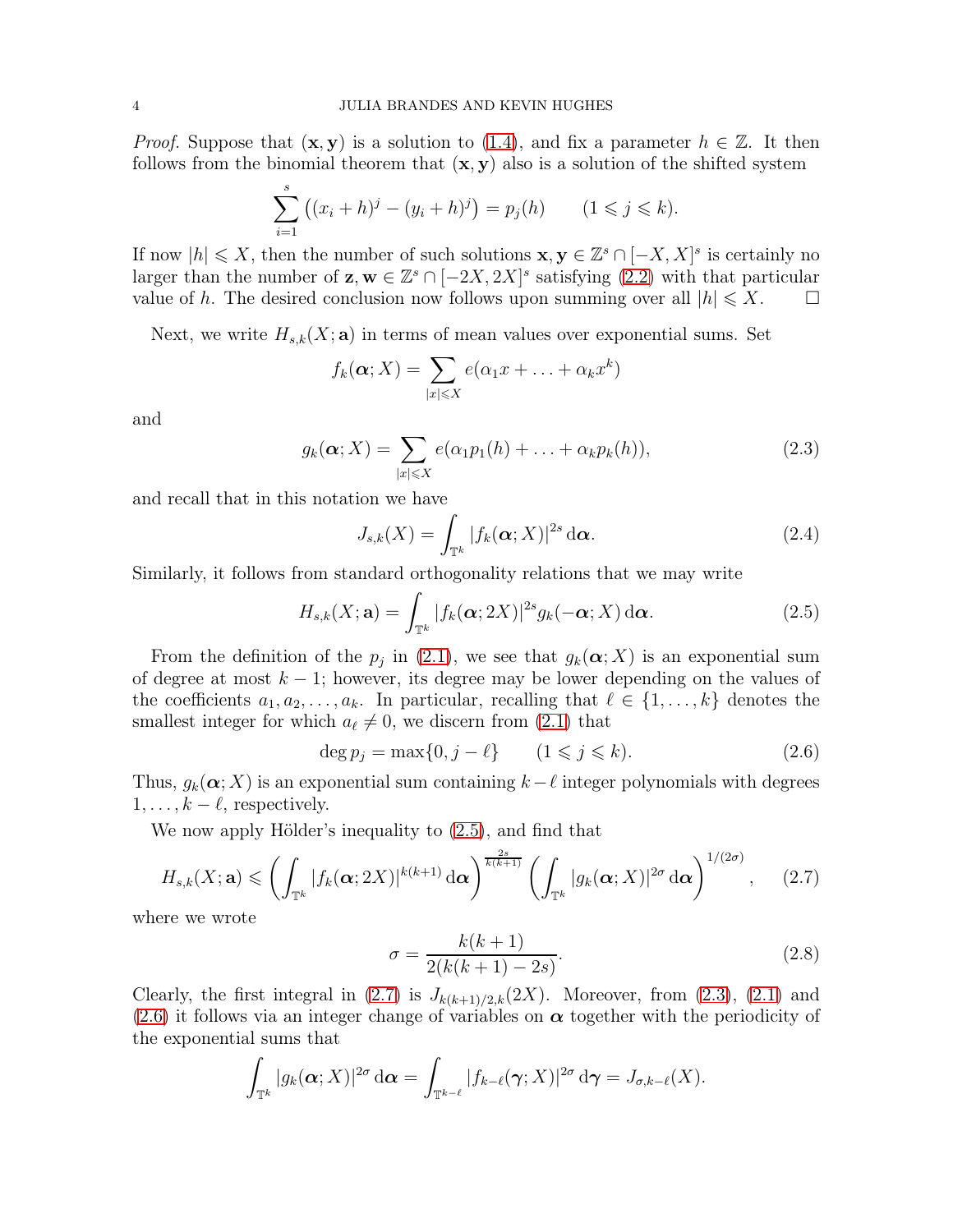*Proof.* Suppose that  $(x, y)$  is a solution to [\(1.4\)](#page-1-4), and fix a parameter  $h \in \mathbb{Z}$ . It then follows from the binomial theorem that  $(x, y)$  also is a solution of the shifted system

$$
\sum_{i=1}^{s} ((x_i + h)^j - (y_i + h)^j) = p_j(h) \qquad (1 \leq j \leq k).
$$

If now  $|h| \leqslant X$ , then the number of such solutions  $\mathbf{x}, \mathbf{y} \in \mathbb{Z}^s \cap [-X, X]^s$  is certainly no larger than the number of  $\mathbf{z}, \mathbf{w} \in \mathbb{Z}^s \cap [-2X, 2X]^s$  satisfying  $(2.2)$  with that particular value of h. The desired conclusion now follows upon summing over all  $|h| \leqslant X$ .

Next, we write  $H_{s,k}(X; \mathbf{a})$  in terms of mean values over exponential sums. Set

$$
f_k(\boldsymbol{\alpha};X)=\sum_{|x|\leqslant X}e(\alpha_1x+\ldots+\alpha_kx^k)
$$

and

$$
g_k(\boldsymbol{\alpha};X) = \sum_{|x| \leqslant X} e(\alpha_1 p_1(h) + \ldots + \alpha_k p_k(h)), \qquad (2.3)
$$

and recall that in this notation we have

<span id="page-3-3"></span><span id="page-3-1"></span><span id="page-3-0"></span>
$$
J_{s,k}(X) = \int_{\mathbb{T}^k} |f_k(\boldsymbol{\alpha}; X)|^{2s} d\boldsymbol{\alpha}.
$$
 (2.4)

Similarly, it follows from standard orthogonality relations that we may write

$$
H_{s,k}(X;\mathbf{a}) = \int_{\mathbb{T}^k} |f_k(\boldsymbol{\alpha}; 2X)|^{2s} g_k(-\boldsymbol{\alpha}; X) d\boldsymbol{\alpha}.
$$
 (2.5)

From the definition of the  $p_j$  in [\(2.1\)](#page-2-1), we see that  $g_k(\boldsymbol{\alpha};X)$  is an exponential sum of degree at most  $k - 1$ ; however, its degree may be lower depending on the values of the coefficients  $a_1, a_2, \ldots, a_k$ . In particular, recalling that  $\ell \in \{1, \ldots, k\}$  denotes the smallest integer for which  $a_{\ell} \neq 0$ , we discern from [\(2.1\)](#page-2-1) that

$$
\deg p_j = \max\{0, j - \ell\} \qquad (1 \leq j \leq k). \tag{2.6}
$$

Thus,  $g_k(\boldsymbol{\alpha};X)$  is an exponential sum containing  $k-\ell$  integer polynomials with degrees  $1, \ldots, k - \ell$ , respectively.

We now apply Hölder's inequality to [\(2.5\)](#page-3-1), and find that

$$
H_{s,k}(X;\mathbf{a}) \leqslant \left(\int_{\mathbb{T}^k} |f_k(\boldsymbol{\alpha};2X)|^{k(k+1)} d\boldsymbol{\alpha}\right)^{\frac{2s}{k(k+1)}} \left(\int_{\mathbb{T}^k} |g_k(\boldsymbol{\alpha};X)|^{2\sigma} d\boldsymbol{\alpha}\right)^{1/(2\sigma)},\qquad(2.7)
$$

where we wrote

<span id="page-3-5"></span><span id="page-3-4"></span><span id="page-3-2"></span>
$$
\sigma = \frac{k(k+1)}{2(k(k+1) - 2s)}.\tag{2.8}
$$

Clearly, the first integral in  $(2.7)$  is  $J_{k(k+1)/2,k}(2X)$ . Moreover, from  $(2.3)$ ,  $(2.1)$  and [\(2.6\)](#page-3-4) it follows via an integer change of variables on  $\alpha$  together with the periodicity of the exponential sums that

$$
\int_{\mathbb{T}^k} |g_k(\boldsymbol{\alpha};X)|^{2\sigma} d\boldsymbol{\alpha} = \int_{\mathbb{T}^{k-\ell}} |f_{k-\ell}(\boldsymbol{\gamma};X)|^{2\sigma} d\boldsymbol{\gamma} = J_{\sigma,k-\ell}(X).
$$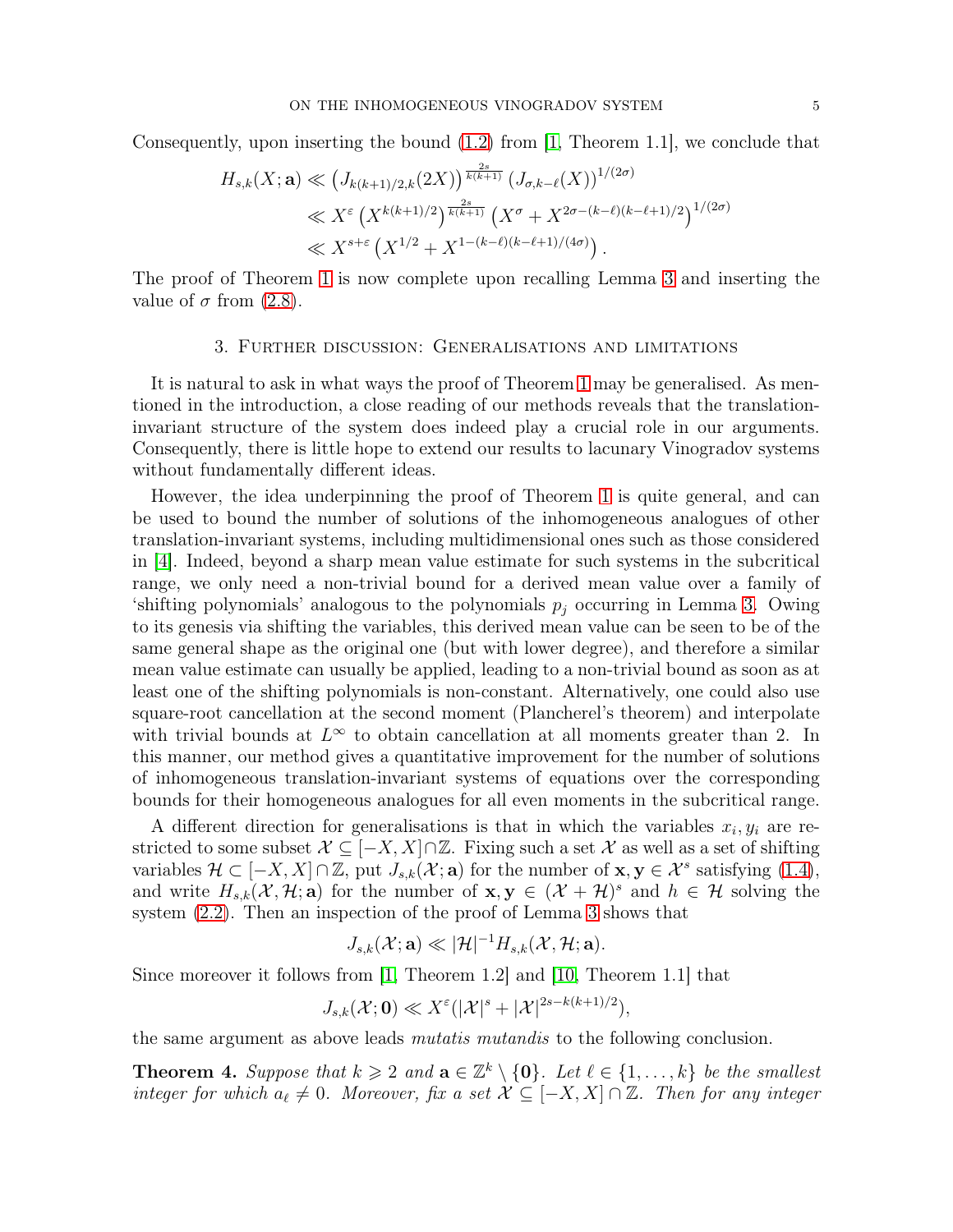Consequently, upon inserting the bound [\(1.2\)](#page-0-0) from [\[1,](#page-6-1) Theorem 1.1], we conclude that

$$
H_{s,k}(X; \mathbf{a}) \ll (J_{k(k+1)/2,k}(2X))^{\frac{2s}{k(k+1)}} (J_{\sigma,k-\ell}(X))^{1/(2\sigma)}
$$
  

$$
\ll X^{\varepsilon} (X^{k(k+1)/2})^{\frac{2s}{k(k+1)}} (X^{\sigma} + X^{2\sigma - (k-\ell)(k-\ell+1)/2})^{1/(2\sigma)}
$$
  

$$
\ll X^{s+\varepsilon} (X^{1/2} + X^{1-(k-\ell)(k-\ell+1)/(4\sigma)}).
$$

The proof of Theorem [1](#page-1-2) is now complete upon recalling Lemma [3](#page-2-2) and inserting the value of  $\sigma$  from [\(2.8\)](#page-3-5).

### 3. Further discussion: Generalisations and limitations

It is natural to ask in what ways the proof of Theorem [1](#page-1-2) may be generalised. As mentioned in the introduction, a close reading of our methods reveals that the translationinvariant structure of the system does indeed play a crucial role in our arguments. Consequently, there is little hope to extend our results to lacunary Vinogradov systems without fundamentally different ideas.

However, the idea underpinning the proof of Theorem [1](#page-1-2) is quite general, and can be used to bound the number of solutions of the inhomogeneous analogues of other translation-invariant systems, including multidimensional ones such as those considered in [\[4\]](#page-6-9). Indeed, beyond a sharp mean value estimate for such systems in the subcritical range, we only need a non-trivial bound for a derived mean value over a family of 'shifting polynomials' analogous to the polynomials  $p_j$  occurring in Lemma [3.](#page-2-2) Owing to its genesis via shifting the variables, this derived mean value can be seen to be of the same general shape as the original one (but with lower degree), and therefore a similar mean value estimate can usually be applied, leading to a non-trivial bound as soon as at least one of the shifting polynomials is non-constant. Alternatively, one could also use square-root cancellation at the second moment (Plancherel's theorem) and interpolate with trivial bounds at  $L^{\infty}$  to obtain cancellation at all moments greater than 2. In this manner, our method gives a quantitative improvement for the number of solutions of inhomogeneous translation-invariant systems of equations over the corresponding bounds for their homogeneous analogues for all even moments in the subcritical range.

A different direction for generalisations is that in which the variables  $x_i, y_i$  are restricted to some subset  $\mathcal{X} \subseteq [-X, X] \cap \mathbb{Z}$ . Fixing such a set X as well as a set of shifting variables  $\mathcal{H} \subset [-X, X] \cap \mathbb{Z}$ , put  $J_{s,k}(\mathcal{X}; \mathbf{a})$  for the number of  $\mathbf{x}, \mathbf{y} \in \mathcal{X}^s$  satisfying [\(1.4\)](#page-1-4), and write  $H_{s,k}(\mathcal{X},\mathcal{H};\mathbf{a})$  for the number of  $\mathbf{x},\mathbf{y} \in (\mathcal{X}+\mathcal{H})^s$  and  $h \in \mathcal{H}$  solving the system [\(2.2\)](#page-2-0). Then an inspection of the proof of Lemma [3](#page-2-2) shows that

$$
J_{s,k}(\mathcal{X};\mathbf{a}) \ll |\mathcal{H}|^{-1} H_{s,k}(\mathcal{X},\mathcal{H};\mathbf{a}).
$$

Since moreover it follows from [\[1,](#page-6-1) Theorem 1.2] and [\[10,](#page-6-2) Theorem 1.1] that

$$
J_{s,k}(\mathcal{X};\mathbf{0}) \ll X^{\varepsilon}(|\mathcal{X}|^{s} + |\mathcal{X}|^{2s-k(k+1)/2}),
$$

the same argument as above leads *mutatis mutandis* to the following conclusion.

<span id="page-4-0"></span>**Theorem 4.** Suppose that  $k \geq 2$  and  $\mathbf{a} \in \mathbb{Z}^k \setminus \{\mathbf{0}\}\$ . Let  $\ell \in \{1, \ldots, k\}$  be the smallest integer for which  $a_{\ell} \neq 0$ . Moreover, fix a set  $\mathcal{X} \subseteq [-X, X] \cap \mathbb{Z}$ . Then for any integer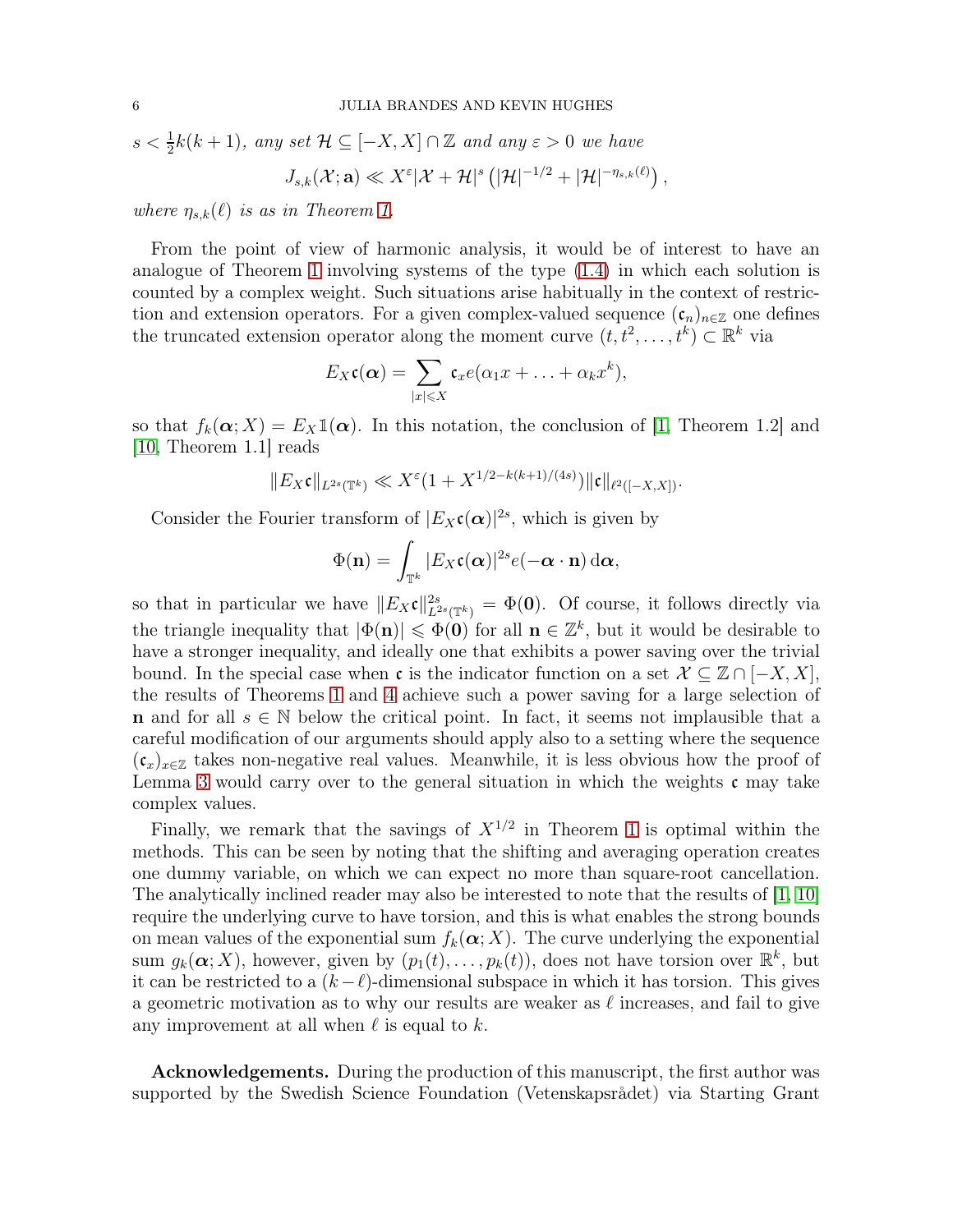$s < \frac{1}{2}k(k+1)$ , any set  $\mathcal{H} \subseteq [-X, X] \cap \mathbb{Z}$  and any  $\varepsilon > 0$  we have

$$
J_{s,k}(\mathcal{X};\mathbf{a}) \ll X^{\varepsilon}|\mathcal{X}+\mathcal{H}|^{s}\left(|\mathcal{H}|^{-1/2}+|\mathcal{H}|^{-\eta_{s,k}(\ell)}\right),
$$

where  $\eta_{s,k}(\ell)$  is as in Theorem [1.](#page-1-2)

From the point of view of harmonic analysis, it would be of interest to have an analogue of Theorem [1](#page-1-2) involving systems of the type [\(1.4\)](#page-1-4) in which each solution is counted by a complex weight. Such situations arise habitually in the context of restriction and extension operators. For a given complex-valued sequence  $(\mathfrak{c}_n)_{n\in\mathbb{Z}}$  one defines the truncated extension operator along the moment curve  $(t, t^2, \ldots, t^k) \subset \mathbb{R}^k$  via

$$
E_X\mathfrak{c}(\boldsymbol{\alpha})=\sum_{|x|\leqslant X}\mathfrak{c}_xe(\alpha_1x+\ldots+\alpha_kx^k),
$$

so that  $f_k(\alpha; X) = E_X \mathbb{1}(\alpha)$ . In this notation, the conclusion of [\[1,](#page-6-1) Theorem 1.2] and [\[10,](#page-6-2) Theorem 1.1] reads

$$
||E_X\mathfrak{c}||_{L^{2s}(\mathbb{T}^k)} \ll X^{\varepsilon}(1+X^{1/2-k(k+1)/(4s)})||\mathfrak{c}||_{\ell^2([-X,X])}.
$$

Consider the Fourier transform of  $|E_X(\boldsymbol{\alpha})|^{2s}$ , which is given by

$$
\Phi(\mathbf{n}) = \int_{\mathbb{T}^k} |E_X \mathfrak{c}(\boldsymbol{\alpha})|^{2s} e(-\boldsymbol{\alpha} \cdot \mathbf{n}) \,\mathrm{d}\boldsymbol{\alpha},
$$

so that in particular we have  $||E_Xc||_{L^{2s}(\mathbb{T}^k)}^{2s} = \Phi(0)$ . Of course, it follows directly via the triangle inequality that  $|\Phi(\mathbf{n})| \leq \Phi(\mathbf{0})$  for all  $\mathbf{n} \in \mathbb{Z}^k$ , but it would be desirable to have a stronger inequality, and ideally one that exhibits a power saving over the trivial bound. In the special case when c is the indicator function on a set  $\mathcal{X} \subseteq \mathbb{Z} \cap [-X, X]$ , the results of Theorems [1](#page-1-2) and [4](#page-4-0) achieve such a power saving for a large selection of **n** and for all  $s \in \mathbb{N}$  below the critical point. In fact, it seems not implausible that a careful modification of our arguments should apply also to a setting where the sequence  $(c_x)_{x\in\mathbb{Z}}$  takes non-negative real values. Meanwhile, it is less obvious how the proof of Lemma [3](#page-2-2) would carry over to the general situation in which the weights  $\mathfrak{c}$  may take complex values.

Finally, we remark that the savings of  $X^{1/2}$  in Theorem [1](#page-1-2) is optimal within the methods. This can be seen by noting that the shifting and averaging operation creates one dummy variable, on which we can expect no more than square-root cancellation. The analytically inclined reader may also be interested to note that the results of [\[1,](#page-6-1) [10\]](#page-6-2) require the underlying curve to have torsion, and this is what enables the strong bounds on mean values of the exponential sum  $f_k(\alpha; X)$ . The curve underlying the exponential sum  $g_k(\boldsymbol{\alpha};X)$ , however, given by  $(p_1(t),\ldots,p_k(t))$ , does not have torsion over  $\mathbb{R}^k$ , but it can be restricted to a  $(k-\ell)$ -dimensional subspace in which it has torsion. This gives a geometric motivation as to why our results are weaker as  $\ell$  increases, and fail to give any improvement at all when  $\ell$  is equal to  $k$ .

Acknowledgements. During the production of this manuscript, the first author was supported by the Swedish Science Foundation (Vetenskapsrådet) via Starting Grant